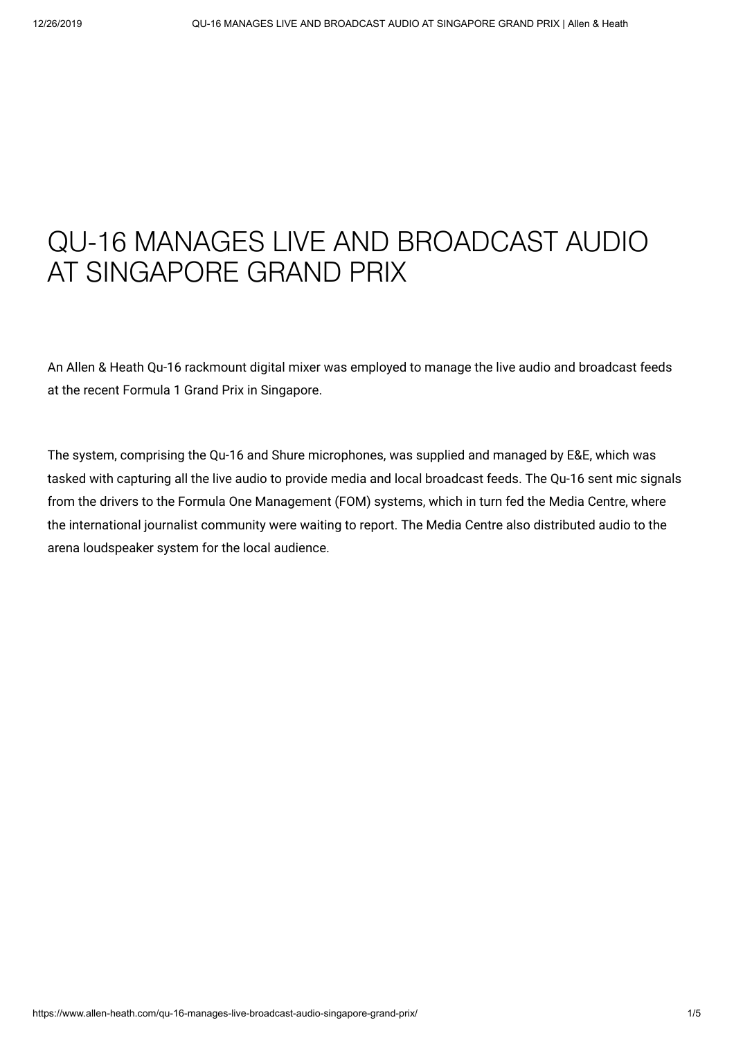## QU-16 MANAGES LIVE AND BROADCAST AUDIO AT SINGAPORE GRAND PRIX

An Allen & Heath Qu-16 rackmount digital mixer was employed to manage the live audio and broadcast feeds at the recent Formula 1 Grand Prix in Singapore.

The system, comprising the Qu-16 and Shure microphones, was supplied and managed by E&E, which was tasked with capturing all the live audio to provide media and local broadcast feeds. The Qu-16 sent mic signals from the drivers to the Formula One Management (FOM) systems, which in turn fed the Media Centre, where the international journalist community were waiting to report. The Media Centre also distributed audio to the arena loudspeaker system for the local audience.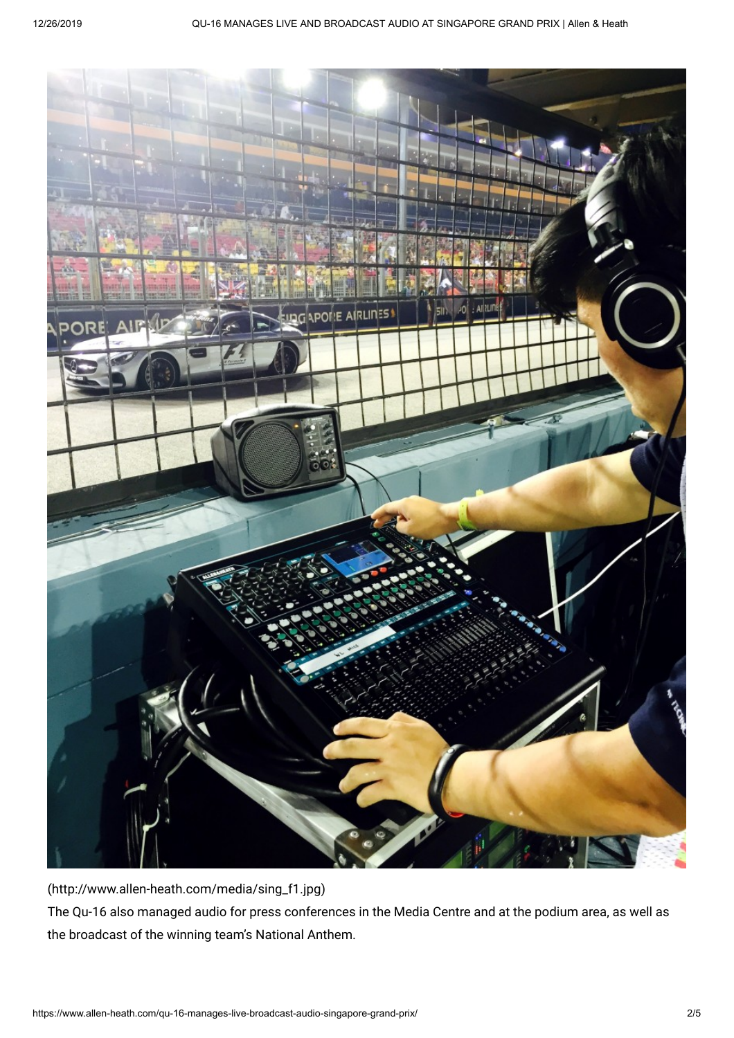

[\(http://www.allen-heath.com/media/sing\\_f1.jpg\)](http://www.allen-heath.com/media/sing_f1.jpg) The Qu-16 also managed audio for press conferences in the Media Centre and at the podium area, as well as the broadcast of the winning team's National Anthem.